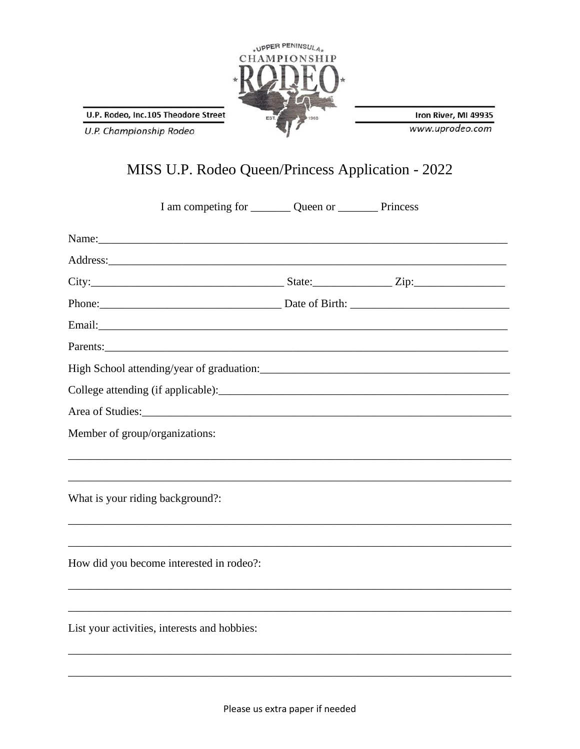

U.P. Rodeo, Inc.105 Theodore Street

U.P. Championship Rodeo

Iron River, MI 49935 www.uprodeo.com

## MISS U.P. Rodeo Queen/Princess Application - 2022

| I am competing for ___________ Queen or ____________ Princess |  |  |
|---------------------------------------------------------------|--|--|
| Name:                                                         |  |  |
|                                                               |  |  |
| City: $\frac{1}{2}$ City:                                     |  |  |
|                                                               |  |  |
|                                                               |  |  |
|                                                               |  |  |
|                                                               |  |  |
|                                                               |  |  |
|                                                               |  |  |
| Member of group/organizations:                                |  |  |
| What is your riding background?:                              |  |  |
|                                                               |  |  |
| How did you become interested in rodeo?:                      |  |  |
|                                                               |  |  |
| List your activities, interests and hobbies:                  |  |  |
|                                                               |  |  |